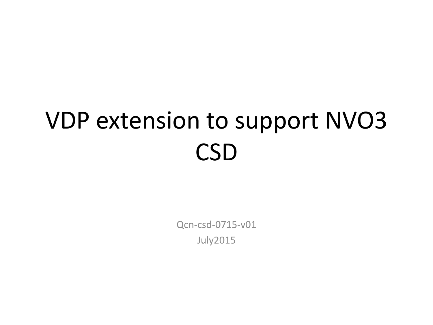# VDP extension to support NVO3 **CSD**

Qcn-csd-0715-v01 July2015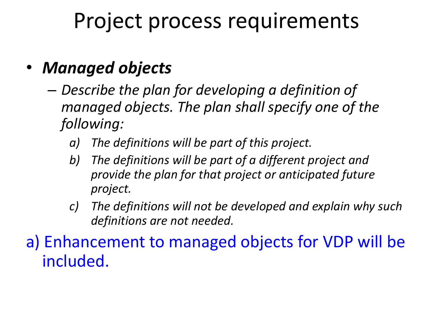### Project process requirements

### • *Managed objects*

- *Describe the plan for developing a definition of managed objects. The plan shall specify one of the following:*
	- *a) The definitions will be part of this project.*
	- *b) The definitions will be part of a different project and provide the plan for that project or anticipated future project.*
	- *c) The definitions will not be developed and explain why such definitions are not needed.*

a) Enhancement to managed objects for VDP will be included.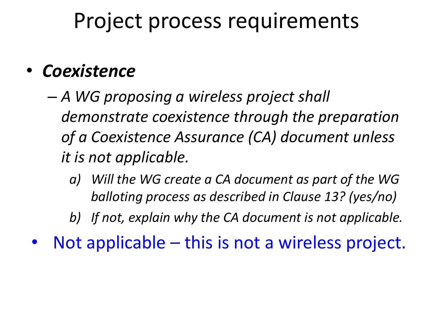### Project process requirements

### • *Coexistence*

- *A WG proposing a wireless project shall demonstrate coexistence through the preparation of a Coexistence Assurance (CA) document unless it is not applicable.*
	- *a) Will the WG create a CA document as part of the WG balloting process as described in Clause 13? (yes/no)*

*b) If not, explain why the CA document is not applicable.*

• Not applicable – this is not a wireless project.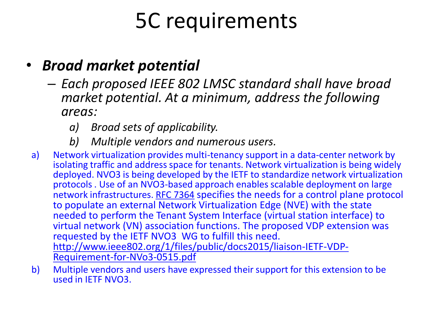#### • *Broad market potential*

- *Each proposed IEEE 802 LMSC standard shall have broad market potential. At a minimum, address the following areas:*
	- *a) Broad sets of applicability.*
	- *b) Multiple vendors and numerous users.*
- a) Network virtualization provides multi-tenancy support in a data-center network by isolating traffic and address space for tenants. Network virtualization is being widely deployed. NVO3 is being developed by the IETF to standardize network virtualization protocols . Use of an NVO3-based approach enables scalable deployment on large network infrastructures. [RFC 7364](https://datatracker.ietf.org/doc/rfc7364/) specifies the needs for a control plane protocol to populate an external Network Virtualization Edge (NVE) with the state needed to perform the Tenant System Interface (virtual station interface) to virtual network (VN) association functions. The proposed VDP extension was requested by the IETF NVO3 WG to fulfill this need. [http://www.ieee802.org/1/files/public/docs2015/liaison-IETF-VDP-](http://www.ieee802.org/1/files/public/docs2015/liaison-IETF-VDP-Requirement-for-NVo3-0515.pdf)[Requirement-for-NVo3-0515.pdf](http://www.ieee802.org/1/files/public/docs2015/liaison-IETF-VDP-Requirement-for-NVo3-0515.pdf)
- b) Multiple vendors and users have expressed their support for this extension to be used in IETF NVO3.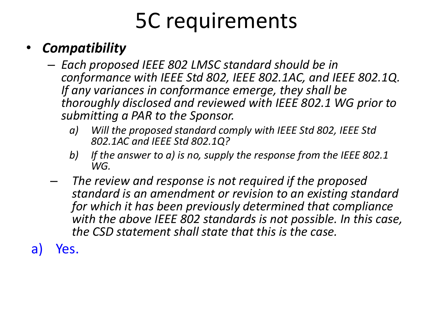### • *Compatibility*

- *Each proposed IEEE 802 LMSC standard should be in conformance with IEEE Std 802, IEEE 802.1AC, and IEEE 802.1Q. If any variances in conformance emerge, they shall be thoroughly disclosed and reviewed with IEEE 802.1 WG prior to submitting a PAR to the Sponsor.*
	- *a) Will the proposed standard comply with IEEE Std 802, IEEE Std 802.1AC and IEEE Std 802.1Q?*
	- *b) If the answer to a) is no, supply the response from the IEEE 802.1 WG.*
- *The review and response is not required if the proposed standard is an amendment or revision to an existing standard for which it has been previously determined that compliance with the above IEEE 802 standards is not possible. In this case, the CSD statement shall state that this is the case.*
- a) Yes.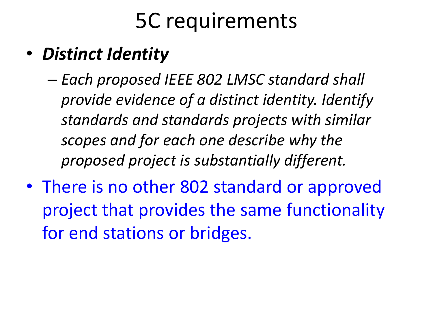### • *Distinct Identity*

- *Each proposed IEEE 802 LMSC standard shall provide evidence of a distinct identity. Identify standards and standards projects with similar scopes and for each one describe why the proposed project is substantially different.*
- There is no other 802 standard or approved project that provides the same functionality for end stations or bridges.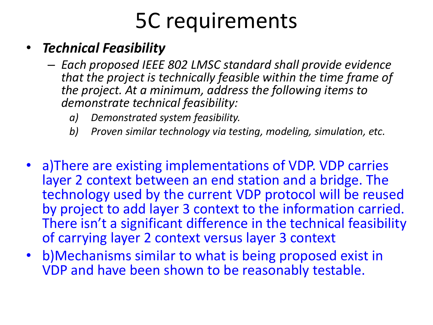#### • *Technical Feasibility*

- *Each proposed IEEE 802 LMSC standard shall provide evidence that the project is technically feasible within the time frame of the project. At a minimum, address the following items to demonstrate technical feasibility:*
	- *a) Demonstrated system feasibility.*
	- *b) Proven similar technology via testing, modeling, simulation, etc.*
- a)There are existing implementations of VDP. VDP carries layer 2 context between an end station and a bridge. The technology used by the current VDP protocol will be reused by project to add layer 3 context to the information carried. There isn't a significant difference in the technical feasibility of carrying layer 2 context versus layer 3 context
- b)Mechanisms similar to what is being proposed exist in VDP and have been shown to be reasonably testable.